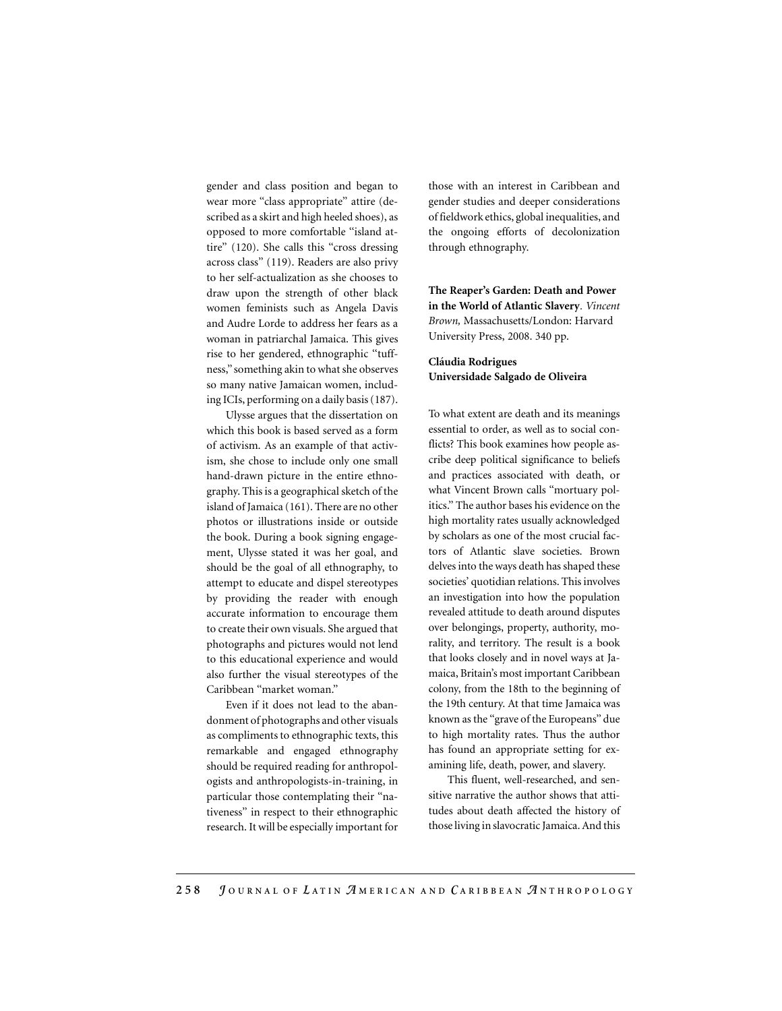gender and class position and began to wear more "class appropriate" attire (described as a skirt and high heeled shoes), as opposed to more comfortable ''island attire" (120). She calls this "cross dressing across class'' (119). Readers are also privy to her self-actualization as she chooses to draw upon the strength of other black women feminists such as Angela Davis and Audre Lorde to address her fears as a woman in patriarchal Jamaica. This gives rise to her gendered, ethnographic ''tuffness,''something akin towhat she observes so many native Jamaican women, including ICIs, performing on a daily basis(187).

Ulysse argues that the dissertation on which this book is based served as a form of activism. As an example of that activism, she chose to include only one small hand-drawn picture in the entire ethnography. This is a geographical sketch of the island of Jamaica (161). There are no other photos or illustrations inside or outside the book. During a book signing engagement, Ulysse stated it was her goal, and should be the goal of all ethnography, to attempt to educate and dispel stereotypes by providing the reader with enough accurate information to encourage them to create their own visuals. She argued that photographs and pictures would not lend to this educational experience and would also further the visual stereotypes of the Caribbean ''market woman.''

Even if it does not lead to the abandonment of photographs and other visuals as compliments to ethnographic texts, this remarkable and engaged ethnography should be required reading for anthropologists and anthropologists-in-training, in particular those contemplating their "nativeness'' in respect to their ethnographic research. It will be especially important for

those with an interest in Caribbean and gender studies and deeper considerations of fieldwork ethics, global inequalities, and the ongoing efforts of decolonization through ethnography.

The Reaper's Garden: Death and Power in the World of Atlantic Slavery. Vincent Brown, Massachusetts/London: Harvard University Press, 2008. 340 pp.

## Cláudia Rodrigues Universidade Salgado de Oliveira

To what extent are death and its meanings essential to order, as well as to social conflicts? This book examines how people ascribe deep political significance to beliefs and practices associated with death, or what Vincent Brown calls "mortuary politics.'' The author bases his evidence on the high mortality rates usually acknowledged by scholars as one of the most crucial factors of Atlantic slave societies. Brown delves into the ways death has shaped these societies' quotidian relations. This involves an investigation into how the population revealed attitude to death around disputes over belongings, property, authority, morality, and territory. The result is a book that looks closely and in novel ways at Jamaica, Britain's most important Caribbean colony, from the 18th to the beginning of the 19th century. At that time Jamaica was known as the "grave of the Europeans" due to high mortality rates. Thus the author has found an appropriate setting for examining life, death, power, and slavery.

This fluent, well-researched, and sensitive narrative the author shows that attitudes about death affected the history of those living in slavocratic Jamaica. And this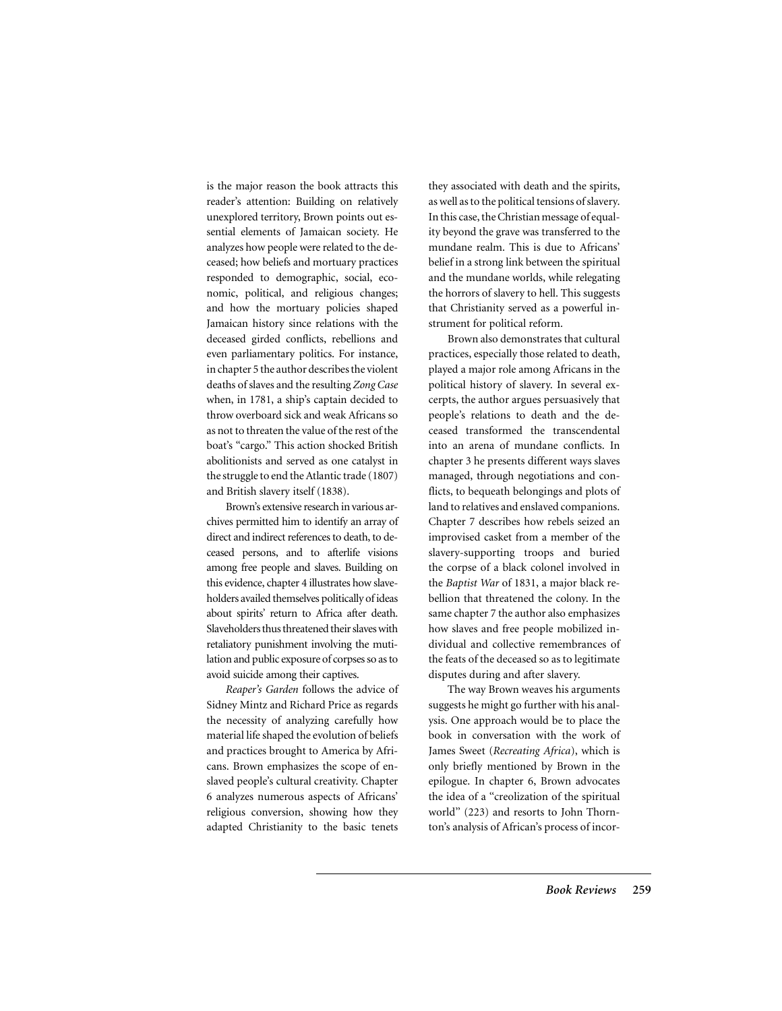is the major reason the book attracts this reader's attention: Building on relatively unexplored territory, Brown points out essential elements of Jamaican society. He analyzes how people were related to the deceased; how beliefs and mortuary practices responded to demographic, social, economic, political, and religious changes; and how the mortuary policies shaped Jamaican history since relations with the deceased girded conflicts, rebellions and even parliamentary politics. For instance, in chapter 5 the author describes the violent deaths of slaves and the resulting Zong Case when, in 1781, a ship's captain decided to throw overboard sick and weak Africans so as not to threaten the value of the rest of the boat's ''cargo.'' This action shocked British abolitionists and served as one catalyst in the struggle to end the Atlantic trade (1807) and British slavery itself (1838).

Brown's extensive research in various archives permitted him to identify an array of direct and indirect references to death, to deceased persons, and to afterlife visions among free people and slaves. Building on this evidence, chapter 4 illustrates how slaveholders availed themselves politically of ideas about spirits' return to Africa after death. Slaveholders thus threatened their slaves with retaliatory punishment involving the mutilation and public exposure of corpses so as to avoid suicide among their captives.

Reaper's Garden follows the advice of Sidney Mintz and Richard Price as regards the necessity of analyzing carefully how material life shaped the evolution of beliefs and practices brought to America by Africans. Brown emphasizes the scope of enslaved people's cultural creativity. Chapter 6 analyzes numerous aspects of Africans' religious conversion, showing how they adapted Christianity to the basic tenets

they associated with death and the spirits, as well as to the political tensions of slavery. In this case, the Christian message of equality beyond the grave was transferred to the mundane realm. This is due to Africans' belief in a strong link between the spiritual and the mundane worlds, while relegating the horrors of slavery to hell. This suggests that Christianity served as a powerful instrument for political reform.

Brown also demonstrates that cultural practices, especially those related to death, played a major role among Africans in the political history of slavery. In several excerpts, the author argues persuasively that people's relations to death and the deceased transformed the transcendental into an arena of mundane conflicts. In chapter 3 he presents different ways slaves managed, through negotiations and conflicts, to bequeath belongings and plots of land to relatives and enslaved companions. Chapter 7 describes how rebels seized an improvised casket from a member of the slavery-supporting troops and buried the corpse of a black colonel involved in the Baptist War of 1831, a major black rebellion that threatened the colony. In the same chapter 7 the author also emphasizes how slaves and free people mobilized individual and collective remembrances of the feats of the deceased so as to legitimate disputes during and after slavery.

The way Brown weaves his arguments suggests he might go further with his analysis. One approach would be to place the book in conversation with the work of James Sweet (Recreating Africa), which is only briefly mentioned by Brown in the epilogue. In chapter 6, Brown advocates the idea of a ''creolization of the spiritual world'' (223) and resorts to John Thornton's analysis of African's process of incor